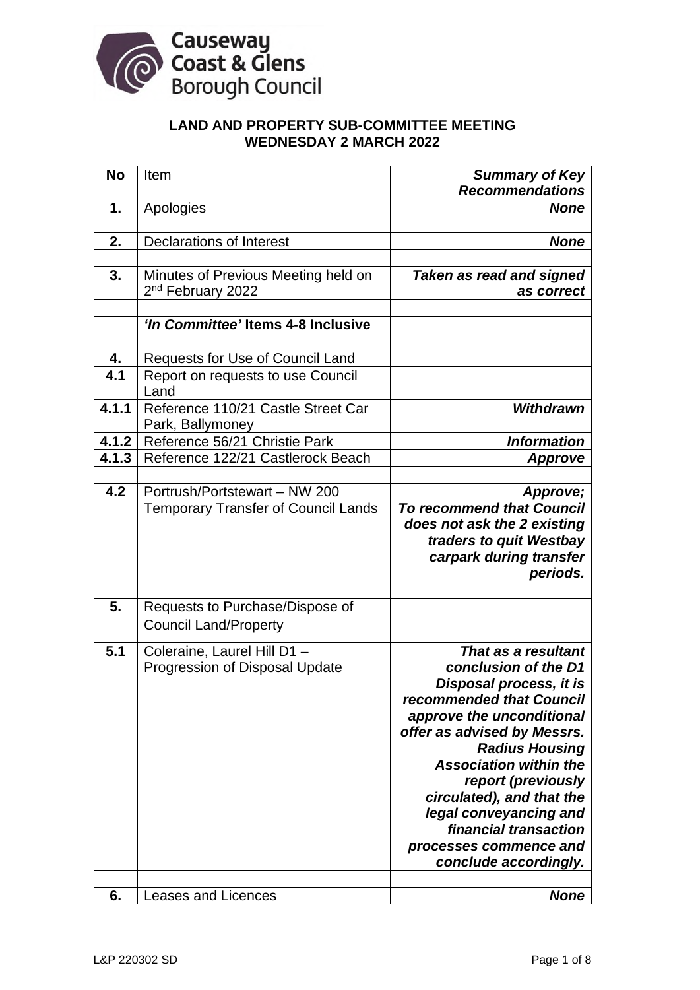

# **LAND AND PROPERTY SUB-COMMITTEE MEETING WEDNESDAY 2 MARCH 2022**

| <b>No</b> | Item                                                   | <b>Summary of Key</b><br><b>Recommendations</b> |
|-----------|--------------------------------------------------------|-------------------------------------------------|
| 1.        | Apologies                                              | <b>None</b>                                     |
|           |                                                        |                                                 |
| 2.        | <b>Declarations of Interest</b>                        | <b>None</b>                                     |
|           |                                                        |                                                 |
| 3.        | Minutes of Previous Meeting held on                    | <b>Taken as read and signed</b>                 |
|           | 2 <sup>nd</sup> February 2022                          | as correct                                      |
|           |                                                        |                                                 |
|           | 'In Committee' Items 4-8 Inclusive                     |                                                 |
|           |                                                        |                                                 |
| 4.<br>4.1 | Requests for Use of Council Land                       |                                                 |
|           | Report on requests to use Council<br>Land              |                                                 |
| 4.1.1     | Reference 110/21 Castle Street Car<br>Park, Ballymoney | <b>Withdrawn</b>                                |
| 4.1.2     | Reference 56/21 Christie Park                          | <b>Information</b>                              |
| 4.1.3     | Reference 122/21 Castlerock Beach                      | <b>Approve</b>                                  |
|           |                                                        |                                                 |
| 4.2       | Portrush/Portstewart - NW 200                          | Approve;                                        |
|           | <b>Temporary Transfer of Council Lands</b>             | <b>To recommend that Council</b>                |
|           |                                                        | does not ask the 2 existing                     |
|           |                                                        | traders to quit Westbay                         |
|           |                                                        | carpark during transfer                         |
|           |                                                        | periods.                                        |
| 5.        | Requests to Purchase/Dispose of                        |                                                 |
|           | <b>Council Land/Property</b>                           |                                                 |
| 5.1       | Coleraine, Laurel Hill D1 -                            | That as a resultant                             |
|           | Progression of Disposal Update                         | conclusion of the D1                            |
|           |                                                        | Disposal process, it is                         |
|           |                                                        | recommended that Council                        |
|           |                                                        | approve the unconditional                       |
|           |                                                        | offer as advised by Messrs.                     |
|           |                                                        | <b>Radius Housing</b>                           |
|           |                                                        | <b>Association within the</b>                   |
|           |                                                        | report (previously                              |
|           |                                                        | circulated), and that the                       |
|           |                                                        | legal conveyancing and<br>financial transaction |
|           |                                                        | processes commence and                          |
|           |                                                        | conclude accordingly.                           |
|           |                                                        |                                                 |
| 6.        | Leases and Licences                                    | <b>None</b>                                     |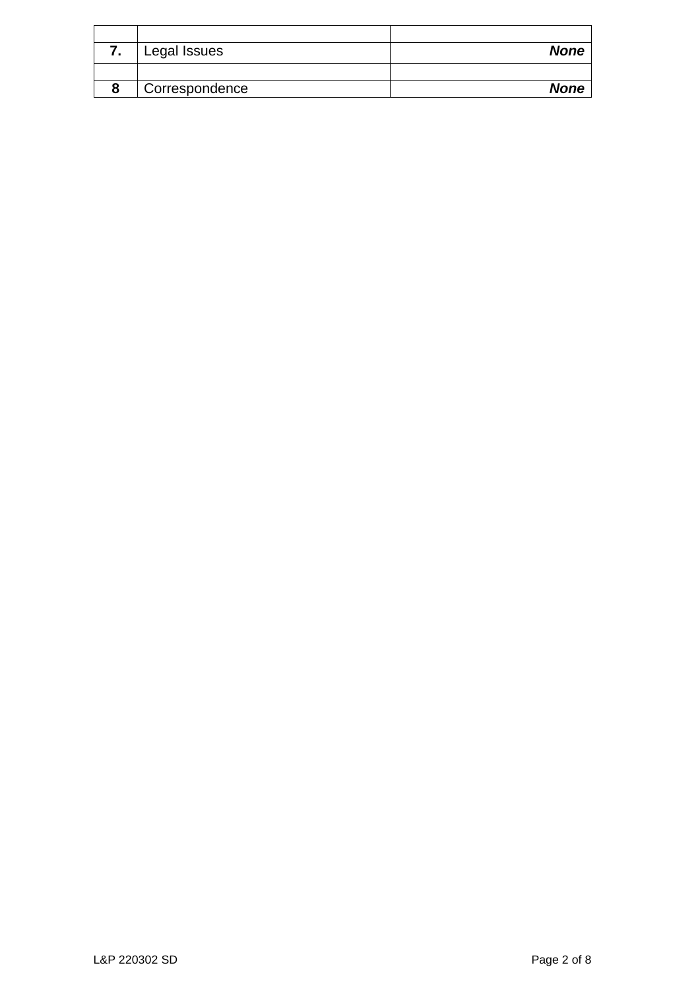| Legal Issues   | <b>None</b> |
|----------------|-------------|
|                |             |
| Correspondence | <b>None</b> |
|                |             |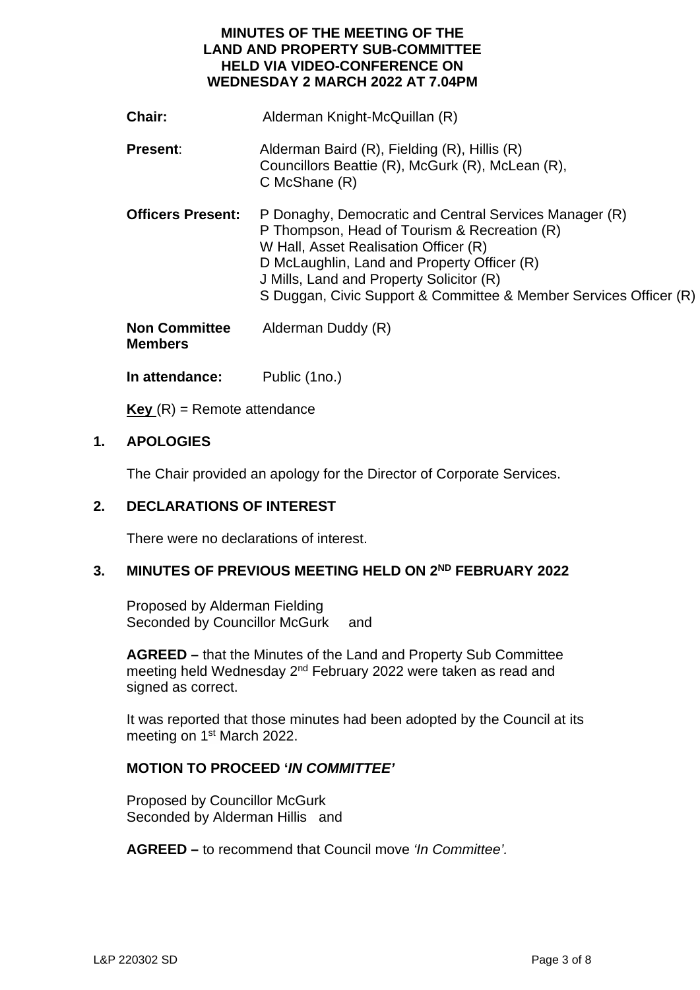# **MINUTES OF THE MEETING OF THE LAND AND PROPERTY SUB-COMMITTEE HELD VIA VIDEO-CONFERENCE ON WEDNESDAY 2 MARCH 2022 AT 7.04PM**

| Chair:                                 | Alderman Knight-McQuillan (R)                                                                                                                                                                                                                                                                                   |
|----------------------------------------|-----------------------------------------------------------------------------------------------------------------------------------------------------------------------------------------------------------------------------------------------------------------------------------------------------------------|
| <b>Present:</b>                        | Alderman Baird (R), Fielding (R), Hillis (R)<br>Councillors Beattie (R), McGurk (R), McLean (R),<br>$C$ McShane $(R)$                                                                                                                                                                                           |
| <b>Officers Present:</b>               | P Donaghy, Democratic and Central Services Manager (R)<br>P Thompson, Head of Tourism & Recreation (R)<br>W Hall, Asset Realisation Officer (R)<br>D McLaughlin, Land and Property Officer (R)<br>J Mills, Land and Property Solicitor (R)<br>S Duggan, Civic Support & Committee & Member Services Officer (R) |
| <b>Non Committee</b><br><b>Members</b> | Alderman Duddy (R)                                                                                                                                                                                                                                                                                              |

**In attendance:** Public (1no.)

 $Key(R) =$ Remote attendance

# **1. APOLOGIES**

The Chair provided an apology for the Director of Corporate Services.

### **2. DECLARATIONS OF INTEREST**

There were no declarations of interest.

### **3. MINUTES OF PREVIOUS MEETING HELD ON 2ND FEBRUARY 2022**

Proposed by Alderman Fielding Seconded by Councillor McGurk and

**AGREED –** that the Minutes of the Land and Property Sub Committee meeting held Wednesday 2nd February 2022 were taken as read and signed as correct.

It was reported that those minutes had been adopted by the Council at its meeting on 1<sup>st</sup> March 2022.

# **MOTION TO PROCEED '***IN COMMITTEE'*

Proposed by Councillor McGurk Seconded by Alderman Hillis and

**AGREED –** to recommend that Council move *'In Committee'.*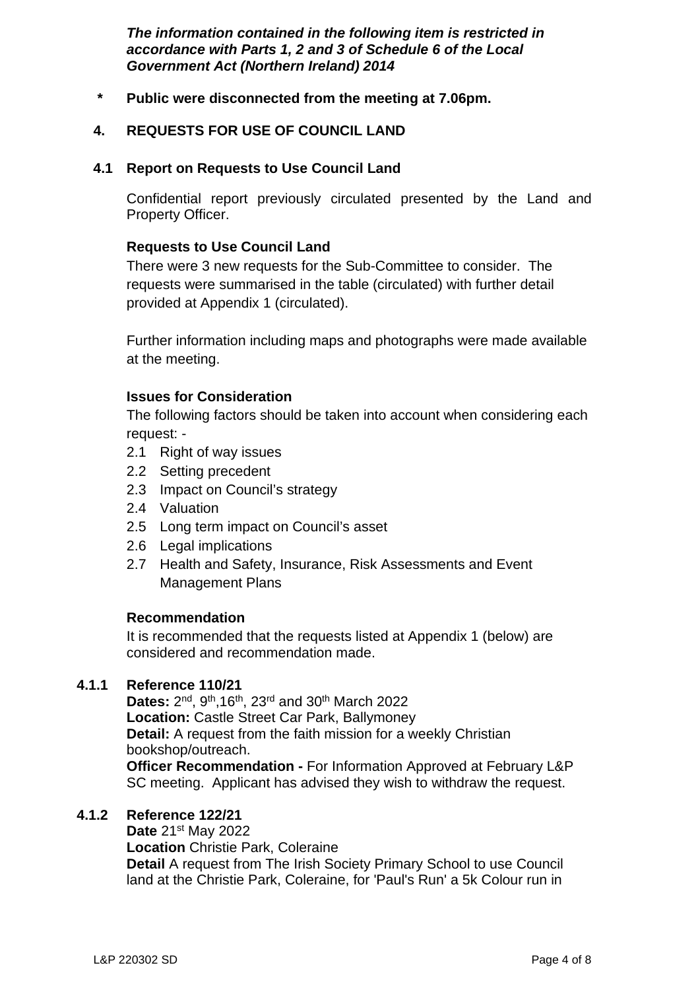*The information contained in the following item is restricted in accordance with Parts 1, 2 and 3 of Schedule 6 of the Local Government Act (Northern Ireland) 2014* 

 **\* Public were disconnected from the meeting at 7.06pm.** 

# **4. REQUESTS FOR USE OF COUNCIL LAND**

## **4.1 Report on Requests to Use Council Land**

Confidential report previously circulated presented by the Land and Property Officer.

# **Requests to Use Council Land**

There were 3 new requests for the Sub-Committee to consider. The requests were summarised in the table (circulated) with further detail provided at Appendix 1 (circulated).

Further information including maps and photographs were made available at the meeting.

### **Issues for Consideration**

The following factors should be taken into account when considering each request: -

- 2.1 Right of way issues
- 2.2 Setting precedent
- 2.3 Impact on Council's strategy
- 2.4 Valuation
- 2.5 Long term impact on Council's asset
- 2.6 Legal implications
- 2.7 Health and Safety, Insurance, Risk Assessments and Event Management Plans

### **Recommendation**

It is recommended that the requests listed at Appendix 1 (below) are considered and recommendation made.

### **4.1.1 Reference 110/21**

Dates: 2<sup>nd</sup>, 9<sup>th</sup>, 16<sup>th</sup>, 23<sup>rd</sup> and 30<sup>th</sup> March 2022 **Location:** Castle Street Car Park, Ballymoney **Detail:** A request from the faith mission for a weekly Christian bookshop/outreach. **Officer Recommendation -** For Information Approved at February L&P SC meeting. Applicant has advised they wish to withdraw the request.

### **4.1.2 Reference 122/21**

**Date** 21st May 2022

**Location** Christie Park, Coleraine **Detail** A request from The Irish Society Primary School to use Council land at the Christie Park, Coleraine, for 'Paul's Run' a 5k Colour run in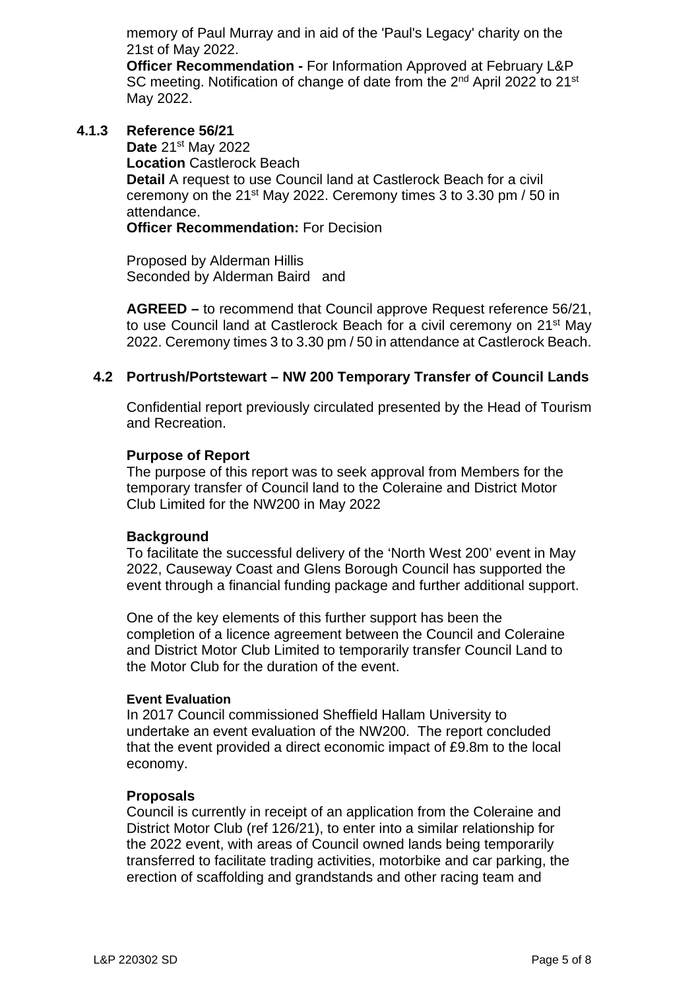memory of Paul Murray and in aid of the 'Paul's Legacy' charity on the 21st of May 2022.

**Officer Recommendation -** For Information Approved at February L&P SC meeting. Notification of change of date from the 2<sup>nd</sup> April 2022 to 21<sup>st</sup> May 2022.

**4.1.3 Reference 56/21**

**Date** 21st May 2022

**Location** Castlerock Beach

**Detail** A request to use Council land at Castlerock Beach for a civil ceremony on the 21st May 2022. Ceremony times 3 to 3.30 pm / 50 in attendance.

**Officer Recommendation:** For Decision

Proposed by Alderman Hillis Seconded by Alderman Baird and

**AGREED –** to recommend that Council approve Request reference 56/21, to use Council land at Castlerock Beach for a civil ceremony on 21st May 2022. Ceremony times 3 to 3.30 pm / 50 in attendance at Castlerock Beach.

### **4.2 Portrush/Portstewart – NW 200 Temporary Transfer of Council Lands**

Confidential report previously circulated presented by the Head of Tourism and Recreation.

#### **Purpose of Report**

The purpose of this report was to seek approval from Members for the temporary transfer of Council land to the Coleraine and District Motor Club Limited for the NW200 in May 2022

#### **Background**

To facilitate the successful delivery of the 'North West 200' event in May 2022, Causeway Coast and Glens Borough Council has supported the event through a financial funding package and further additional support.

One of the key elements of this further support has been the completion of a licence agreement between the Council and Coleraine and District Motor Club Limited to temporarily transfer Council Land to the Motor Club for the duration of the event.

#### **Event Evaluation**

In 2017 Council commissioned Sheffield Hallam University to undertake an event evaluation of the NW200. The report concluded that the event provided a direct economic impact of £9.8m to the local economy.

#### **Proposals**

Council is currently in receipt of an application from the Coleraine and District Motor Club (ref 126/21), to enter into a similar relationship for the 2022 event, with areas of Council owned lands being temporarily transferred to facilitate trading activities, motorbike and car parking, the erection of scaffolding and grandstands and other racing team and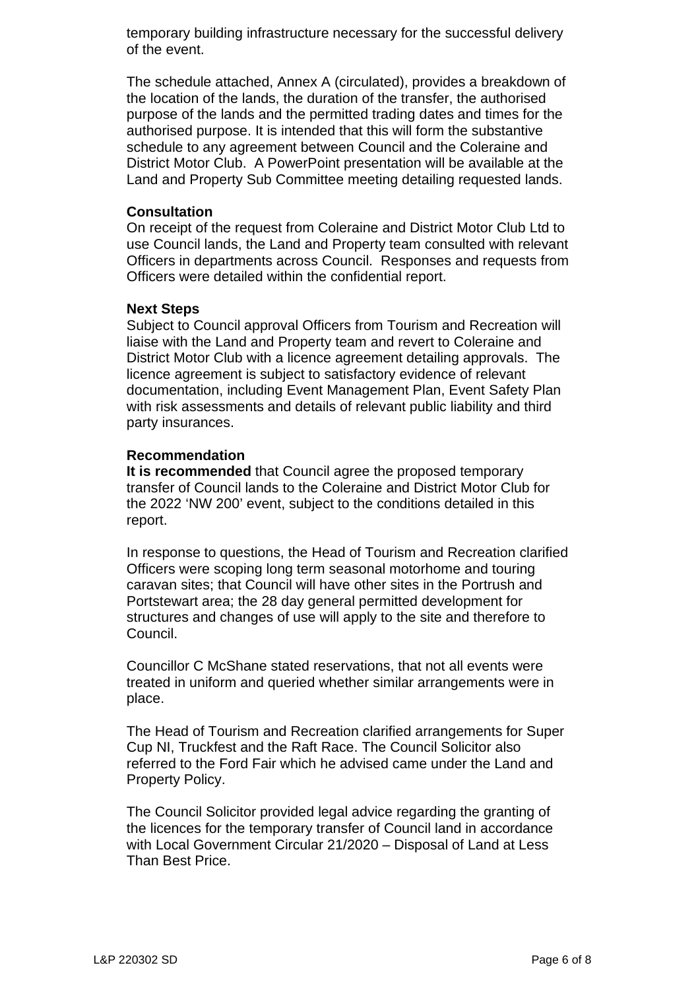temporary building infrastructure necessary for the successful delivery of the event.

The schedule attached, Annex A (circulated), provides a breakdown of the location of the lands, the duration of the transfer, the authorised purpose of the lands and the permitted trading dates and times for the authorised purpose. It is intended that this will form the substantive schedule to any agreement between Council and the Coleraine and District Motor Club. A PowerPoint presentation will be available at the Land and Property Sub Committee meeting detailing requested lands.

#### **Consultation**

On receipt of the request from Coleraine and District Motor Club Ltd to use Council lands, the Land and Property team consulted with relevant Officers in departments across Council. Responses and requests from Officers were detailed within the confidential report.

### **Next Steps**

Subject to Council approval Officers from Tourism and Recreation will liaise with the Land and Property team and revert to Coleraine and District Motor Club with a licence agreement detailing approvals. The licence agreement is subject to satisfactory evidence of relevant documentation, including Event Management Plan, Event Safety Plan with risk assessments and details of relevant public liability and third party insurances.

### **Recommendation**

**It is recommended** that Council agree the proposed temporary transfer of Council lands to the Coleraine and District Motor Club for the 2022 'NW 200' event, subject to the conditions detailed in this report.

In response to questions, the Head of Tourism and Recreation clarified Officers were scoping long term seasonal motorhome and touring caravan sites; that Council will have other sites in the Portrush and Portstewart area; the 28 day general permitted development for structures and changes of use will apply to the site and therefore to Council.

Councillor C McShane stated reservations, that not all events were treated in uniform and queried whether similar arrangements were in place.

The Head of Tourism and Recreation clarified arrangements for Super Cup NI, Truckfest and the Raft Race. The Council Solicitor also referred to the Ford Fair which he advised came under the Land and Property Policy.

The Council Solicitor provided legal advice regarding the granting of the licences for the temporary transfer of Council land in accordance with Local Government Circular 21/2020 – Disposal of Land at Less Than Best Price.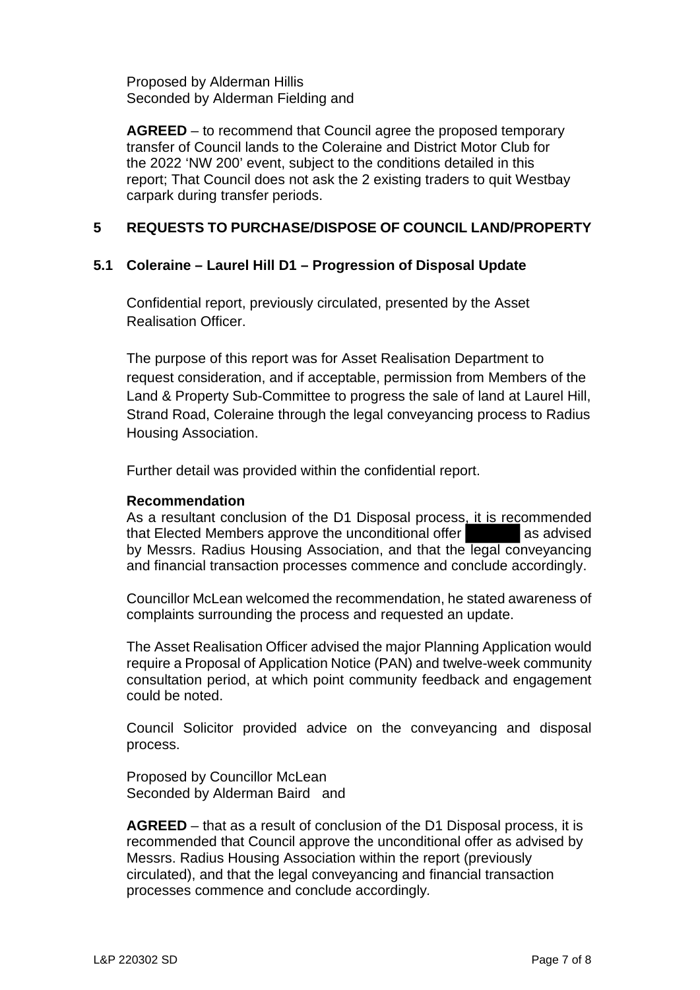Proposed by Alderman Hillis Seconded by Alderman Fielding and

**AGREED** – to recommend that Council agree the proposed temporary transfer of Council lands to the Coleraine and District Motor Club for the 2022 'NW 200' event, subject to the conditions detailed in this report; That Council does not ask the 2 existing traders to quit Westbay carpark during transfer periods.

### **5 REQUESTS TO PURCHASE/DISPOSE OF COUNCIL LAND/PROPERTY**

### **5.1 Coleraine – Laurel Hill D1 – Progression of Disposal Update**

Confidential report, previously circulated, presented by the Asset Realisation Officer.

The purpose of this report was for Asset Realisation Department to request consideration, and if acceptable, permission from Members of the Land & Property Sub-Committee to progress the sale of land at Laurel Hill, Strand Road, Coleraine through the legal conveyancing process to Radius Housing Association.

Further detail was provided within the confidential report.

#### **Recommendation**

As a resultant conclusion of the D1 Disposal process, it is recommended that Elected Members approve the unconditional offer as advised by Messrs. Radius Housing Association, and that the legal conveyancing and financial transaction processes commence and conclude accordingly.

Councillor McLean welcomed the recommendation, he stated awareness of complaints surrounding the process and requested an update.

The Asset Realisation Officer advised the major Planning Application would require a Proposal of Application Notice (PAN) and twelve-week community consultation period, at which point community feedback and engagement could be noted.

Council Solicitor provided advice on the conveyancing and disposal process.

Proposed by Councillor McLean Seconded by Alderman Baird and

**AGREED** – that as a result of conclusion of the D1 Disposal process, it is recommended that Council approve the unconditional offer as advised by Messrs. Radius Housing Association within the report (previously circulated), and that the legal conveyancing and financial transaction processes commence and conclude accordingly*.*